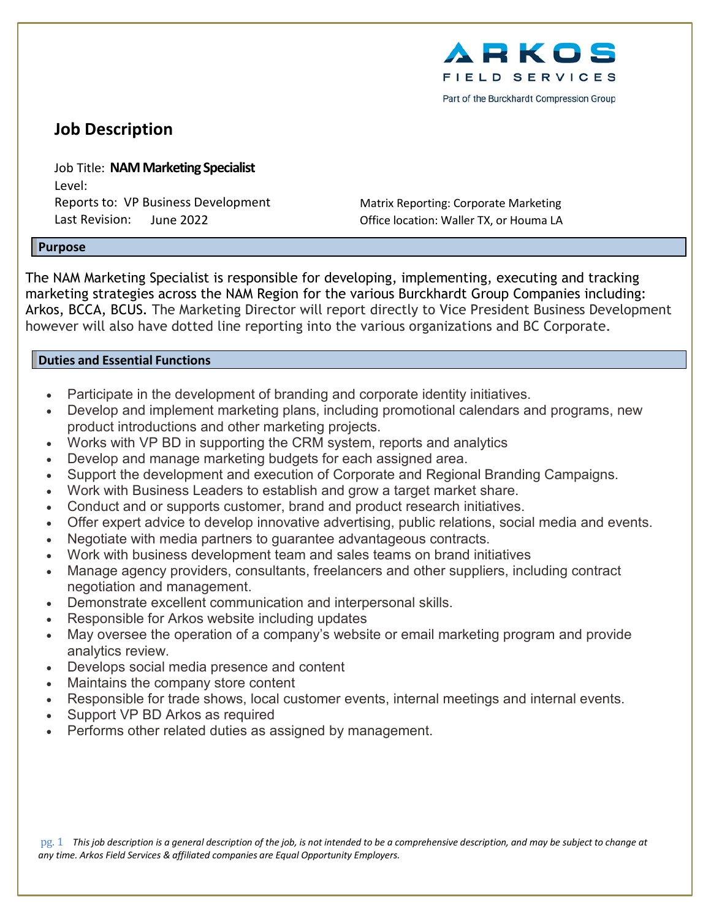

Part of the Burckhardt Compression Group

# **Job Description**

Job Title: **NAM Marketing Specialist**  Level: Reports to: VP Business Development Matrix Reporting: Corporate Marketing Last Revision: June 2022 Office location: Waller TX, or Houma LA

#### **Purpose**

The NAM Marketing Specialist is responsible for developing, implementing, executing and tracking marketing strategies across the NAM Region for the various Burckhardt Group Companies including: Arkos, BCCA, BCUS. The Marketing Director will report directly to Vice President Business Development however will also have dotted line reporting into the various organizations and BC Corporate.

#### **Duties and Essential Functions**

- Participate in the development of branding and corporate identity initiatives.
- Develop and implement marketing plans, including promotional calendars and programs, new product introductions and other marketing projects.
- Works with VP BD in supporting the CRM system, reports and analytics
- Develop and manage marketing budgets for each assigned area.
- Support the development and execution of Corporate and Regional Branding Campaigns.
- Work with Business Leaders to establish and grow a target market share.
- Conduct and or supports customer, brand and product research initiatives.
- Offer expert advice to develop innovative advertising, public relations, social media and events.
- Negotiate with media partners to guarantee advantageous contracts.
- Work with business development team and sales teams on brand initiatives
- Manage agency providers, consultants, freelancers and other suppliers, including contract negotiation and management.
- Demonstrate excellent communication and interpersonal skills.
- Responsible for Arkos website including updates
- May oversee the operation of a company's website or email marketing program and provide analytics review.
- Develops social media presence and content
- Maintains the company store content
- Responsible for trade shows, local customer events, internal meetings and internal events.
- Support VP BD Arkos as required
- Performs other related duties as assigned by management.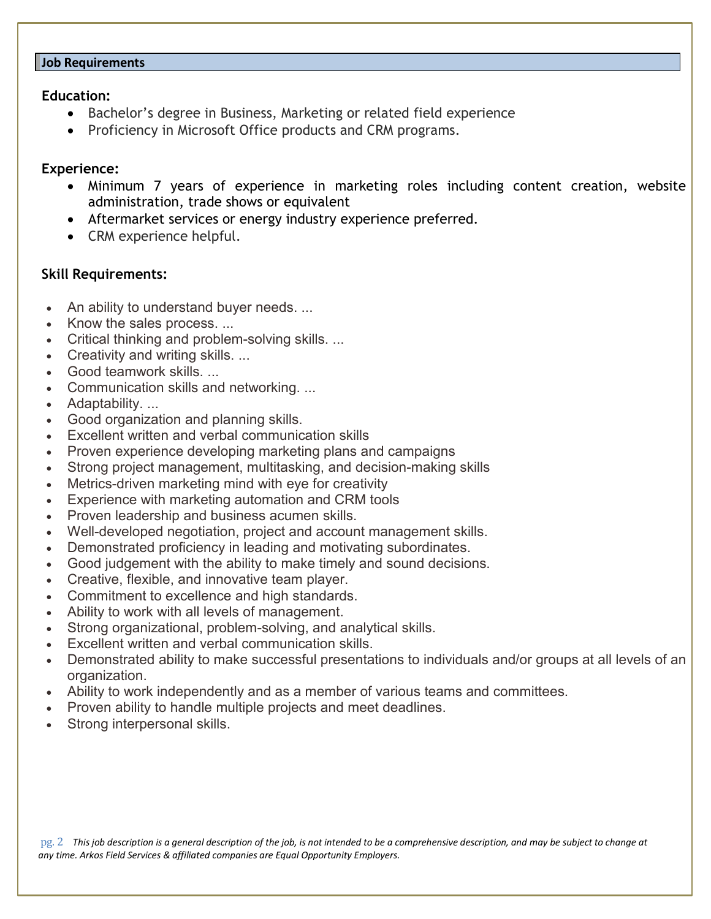#### **Job Requirements**

## **Education:**

- Bachelor's degree in Business, Marketing or related field experience
- Proficiency in Microsoft Office products and CRM programs.

## **Experience:**

- Minimum 7 years of experience in marketing roles including content creation, website administration, trade shows or equivalent
- Aftermarket services or energy industry experience preferred.
- CRM experience helpful.

## **Skill Requirements:**

- An ability to understand buyer needs. ...
- Know the sales process. ...
- Critical thinking and problem-solving skills. ...
- Creativity and writing skills. ...
- Good teamwork skills
- Communication skills and networking. ...
- Adaptability. ...
- Good organization and planning skills.
- Excellent written and verbal communication skills
- Proven experience developing marketing plans and campaigns
- Strong project management, multitasking, and decision-making skills
- Metrics-driven marketing mind with eye for creativity
- Experience with marketing automation and CRM tools
- Proven leadership and business acumen skills.
- Well-developed negotiation, project and account management skills.
- Demonstrated proficiency in leading and motivating subordinates.
- Good judgement with the ability to make timely and sound decisions.
- Creative, flexible, and innovative team player.
- Commitment to excellence and high standards.
- Ability to work with all levels of management.
- Strong organizational, problem-solving, and analytical skills.
- Excellent written and verbal communication skills.
- Demonstrated ability to make successful presentations to individuals and/or groups at all levels of an organization.
- Ability to work independently and as a member of various teams and committees.
- Proven ability to handle multiple projects and meet deadlines.
- Strong interpersonal skills.

pg. 2 This job description is a general description of the job, is not intended to be a comprehensive description, and may be subject to change at *any time. Arkos Field Services & affiliated companies are Equal Opportunity Employers.*